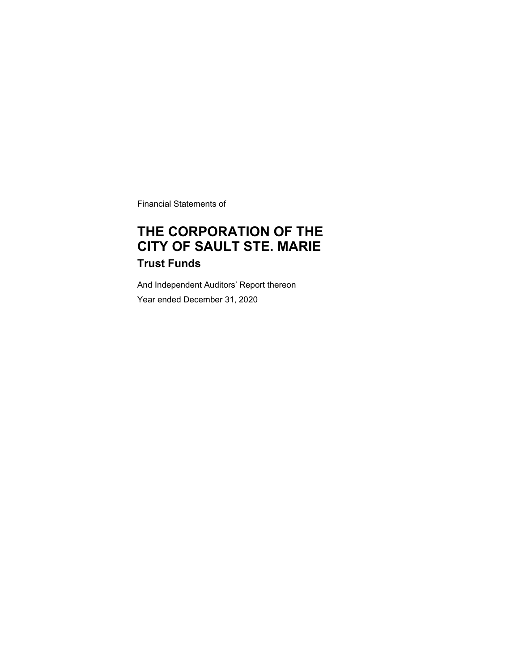Financial Statements of

# **THE CORPORATION OF THE CITY OF SAULT STE. MARIE Trust Funds**

And Independent Auditors' Report thereon Year ended December 31, 2020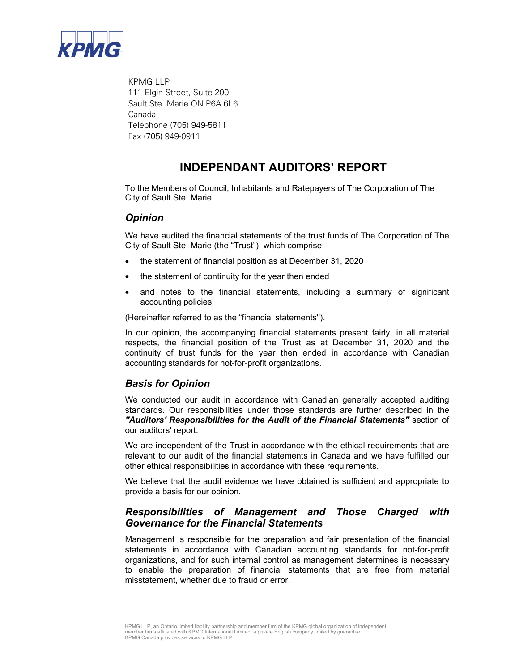

 KPMG LLP 111 Elgin Street, Suite 200 Sault Ste. Marie ON P6A 6L6 Canada Telephone (705) 949-5811 Fax (705) 949-0911

### **INDEPENDANT AUDITORS' REPORT**

To the Members of Council, Inhabitants and Ratepayers of The Corporation of The City of Sault Ste. Marie

#### *Opinion*

We have audited the financial statements of the trust funds of The Corporation of The City of Sault Ste. Marie (the "Trust"), which comprise:

- the statement of financial position as at December 31, 2020
- the statement of continuity for the year then ended
- and notes to the financial statements, including a summary of significant accounting policies

(Hereinafter referred to as the "financial statements'').

In our opinion, the accompanying financial statements present fairly, in all material respects, the financial position of the Trust as at December 31, 2020 and the continuity of trust funds for the year then ended in accordance with Canadian accounting standards for not-for-profit organizations.

### *Basis for Opinion*

We conducted our audit in accordance with Canadian generally accepted auditing standards. Our responsibilities under those standards are further described in the *''Auditors' Responsibilities for the Audit of the Financial Statements''* section of our auditors' report.

We are independent of the Trust in accordance with the ethical requirements that are relevant to our audit of the financial statements in Canada and we have fulfilled our other ethical responsibilities in accordance with these requirements.

We believe that the audit evidence we have obtained is sufficient and appropriate to provide a basis for our opinion.

### *Responsibilities of Management and Those Charged with Governance for the Financial Statements*

Management is responsible for the preparation and fair presentation of the financial statements in accordance with Canadian accounting standards for not-for-profit organizations, and for such internal control as management determines is necessary to enable the preparation of financial statements that are free from material misstatement, whether due to fraud or error.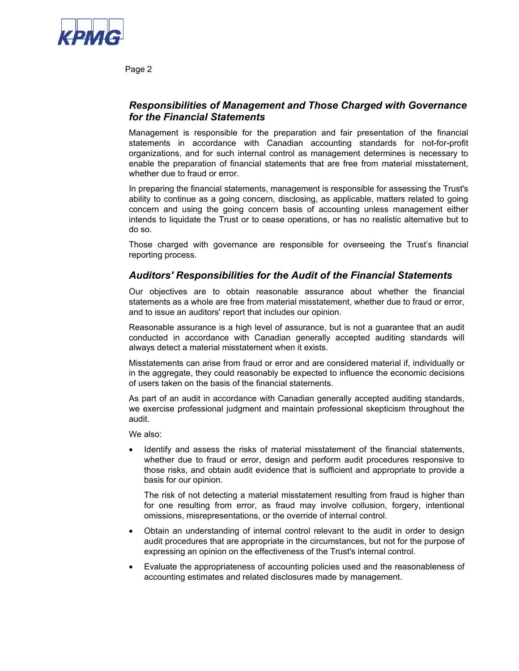

Page 2

### *Responsibilities of Management and Those Charged with Governance for the Financial Statements*

Management is responsible for the preparation and fair presentation of the financial statements in accordance with Canadian accounting standards for not-for-profit organizations, and for such internal control as management determines is necessary to enable the preparation of financial statements that are free from material misstatement, whether due to fraud or error.

In preparing the financial statements, management is responsible for assessing the Trust's ability to continue as a going concern, disclosing, as applicable, matters related to going concern and using the going concern basis of accounting unless management either intends to liquidate the Trust or to cease operations, or has no realistic alternative but to do so.

Those charged with governance are responsible for overseeing the Trust's financial reporting process.

### *Auditors' Responsibilities for the Audit of the Financial Statements*

Our objectives are to obtain reasonable assurance about whether the financial statements as a whole are free from material misstatement, whether due to fraud or error, and to issue an auditors' report that includes our opinion.

Reasonable assurance is a high level of assurance, but is not a guarantee that an audit conducted in accordance with Canadian generally accepted auditing standards will always detect a material misstatement when it exists.

Misstatements can arise from fraud or error and are considered material if, individually or in the aggregate, they could reasonably be expected to influence the economic decisions of users taken on the basis of the financial statements.

As part of an audit in accordance with Canadian generally accepted auditing standards, we exercise professional judgment and maintain professional skepticism throughout the audit.

We also:

• Identify and assess the risks of material misstatement of the financial statements, whether due to fraud or error, design and perform audit procedures responsive to those risks, and obtain audit evidence that is sufficient and appropriate to provide a basis for our opinion.

The risk of not detecting a material misstatement resulting from fraud is higher than for one resulting from error, as fraud may involve collusion, forgery, intentional omissions, misrepresentations, or the override of internal control.

- Obtain an understanding of internal control relevant to the audit in order to design audit procedures that are appropriate in the circumstances, but not for the purpose of expressing an opinion on the effectiveness of the Trust's internal control.
- Evaluate the appropriateness of accounting policies used and the reasonableness of accounting estimates and related disclosures made by management.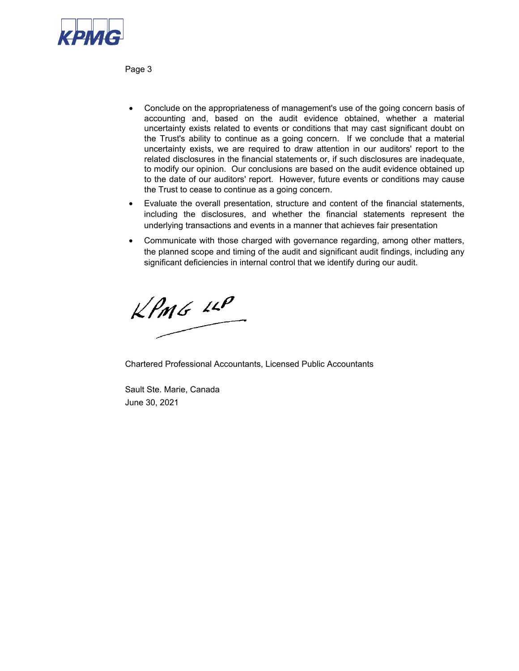

Page 3

- Conclude on the appropriateness of management's use of the going concern basis of accounting and, based on the audit evidence obtained, whether a material uncertainty exists related to events or conditions that may cast significant doubt on the Trust's ability to continue as a going concern. If we conclude that a material uncertainty exists, we are required to draw attention in our auditors' report to the related disclosures in the financial statements or, if such disclosures are inadequate, to modify our opinion. Our conclusions are based on the audit evidence obtained up to the date of our auditors' report. However, future events or conditions may cause the Trust to cease to continue as a going concern.
- Evaluate the overall presentation, structure and content of the financial statements, including the disclosures, and whether the financial statements represent the underlying transactions and events in a manner that achieves fair presentation
- Communicate with those charged with governance regarding, among other matters, the planned scope and timing of the audit and significant audit findings, including any significant deficiencies in internal control that we identify during our audit.

 $KPMG$  14P

Chartered Professional Accountants, Licensed Public Accountants

Sault Ste. Marie, Canada June 30, 2021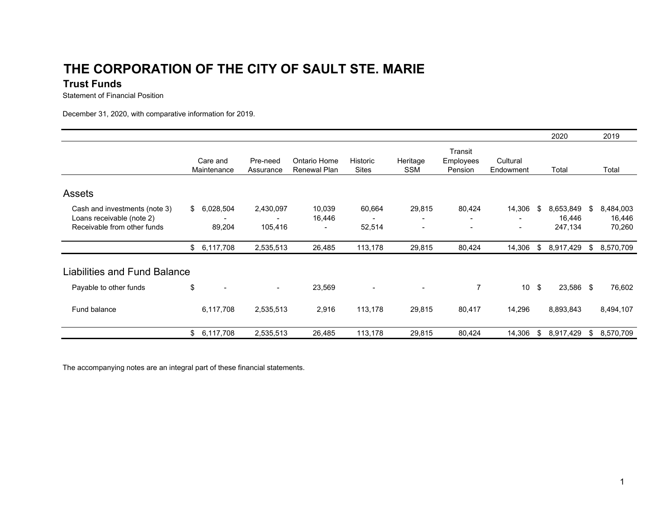# **THE CORPORATION OF THE CITY OF SAULT STE. MARI E**

### **Trust Funds**

Statement of Financial Position

December 31, 2020, with comparative information for 2019.

|                                                                                           |                           |                                                  |                                              |                          |                                    |                                    |                       |     | 2020                           |    | 2019                          |
|-------------------------------------------------------------------------------------------|---------------------------|--------------------------------------------------|----------------------------------------------|--------------------------|------------------------------------|------------------------------------|-----------------------|-----|--------------------------------|----|-------------------------------|
|                                                                                           | Care and<br>Maintenance   | Pre-need<br>Assurance                            | Ontario Home<br>Renewal Plan                 | Historic<br><b>Sites</b> | Heritage<br><b>SSM</b>             | Transit<br>Employees<br>Pension    | Cultural<br>Endowment |     | Total                          |    | Total                         |
| <b>Assets</b>                                                                             |                           |                                                  |                                              |                          |                                    |                                    |                       |     |                                |    |                               |
| Cash and investments (note 3)<br>Loans receivable (note 2)<br>Receivable from other funds | \$<br>6,028,504<br>89,204 | 2,430,097<br>$\overline{\phantom{a}}$<br>105,416 | 10,039<br>16,446<br>$\overline{\phantom{a}}$ | 60,664<br>52,514         | 29,815<br>$\overline{\phantom{a}}$ | 80,424<br>$\overline{\phantom{a}}$ | 14,306                | -S  | 8,653,849<br>16,446<br>247,134 | S  | 8,484,003<br>16,446<br>70,260 |
|                                                                                           | \$6,117,708               | 2,535,513                                        | 26,485                                       | 113,178                  | 29,815                             | 80,424                             | 14,306                | \$  | 8,917,429                      | \$ | 8,570,709                     |
| Liabilities and Fund Balance                                                              |                           |                                                  |                                              |                          |                                    |                                    |                       |     |                                |    |                               |
| Payable to other funds                                                                    | \$<br>$\blacksquare$      | $\blacksquare$                                   | 23,569                                       | $\blacksquare$           |                                    | $\overline{7}$                     | 10 <sup>1</sup>       | -\$ | 23,586 \$                      |    | 76,602                        |
| Fund balance                                                                              | 6,117,708                 | 2,535,513                                        | 2,916                                        | 113,178                  | 29,815                             | 80,417                             | 14,296                |     | 8,893,843                      |    | 8,494,107                     |
|                                                                                           | \$6,117,708               | 2,535,513                                        | 26,485                                       | 113,178                  | 29,815                             | 80,424                             | 14,306                | \$  | 8,917,429                      | \$ | 8,570,709                     |

The accompanying notes are an integral part of these financial statements.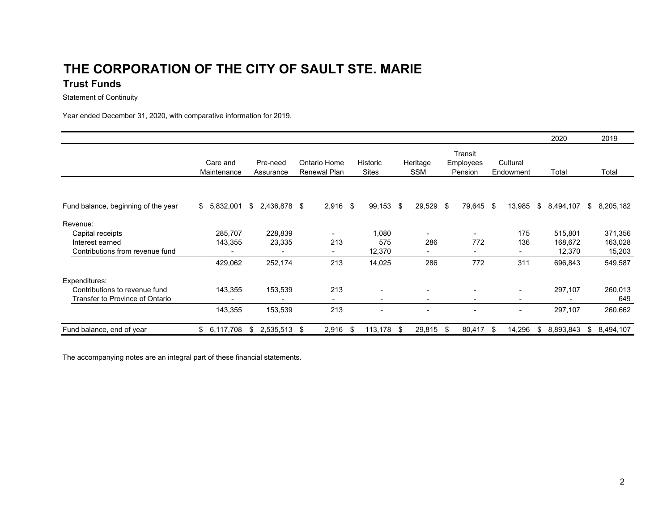## **THE CORPORATION OF THE CITY OF SAULT STE. MARIETrust Funds**

Statement of Continuity

Year ended December 31, 2020, with comparative information for 2019.

|                                     |                         |                       |                                     |                          |                          |                                 |                          | 2020            | 2019            |  |
|-------------------------------------|-------------------------|-----------------------|-------------------------------------|--------------------------|--------------------------|---------------------------------|--------------------------|-----------------|-----------------|--|
|                                     | Care and<br>Maintenance | Pre-need<br>Assurance | Ontario Home<br><b>Renewal Plan</b> | Historic<br><b>Sites</b> | Heritage<br><b>SSM</b>   | Transit<br>Employees<br>Pension | Cultural<br>Endowment    | Total           | Total           |  |
|                                     |                         |                       |                                     |                          |                          |                                 |                          |                 |                 |  |
| Fund balance, beginning of the year | \$<br>5,832,001         | 2,436,878<br>\$       | $2,916$ \$<br>\$                    | 99,153 \$                | 29,529                   | 79,645 \$<br>- \$               | 13,985                   | \$<br>8,494,107 | 8,205,182<br>\$ |  |
| Revenue:                            |                         |                       |                                     |                          |                          |                                 |                          |                 |                 |  |
| Capital receipts                    | 285,707                 | 228,839               | ٠                                   | 1,080                    | $\overline{\phantom{a}}$ |                                 | 175                      | 515,801         | 371,356         |  |
| Interest earned                     | 143,355                 | 23,335                | 213                                 | 575                      | 286                      | 772                             | 136                      | 168,672         | 163,028         |  |
| Contributions from revenue fund     |                         |                       | $\sim$                              | 12,370                   |                          | $\overline{\phantom{0}}$        | $\overline{\phantom{0}}$ | 12,370          | 15,203          |  |
|                                     | 429,062                 | 252,174               | 213                                 | 14,025                   | 286                      | 772                             | 311                      | 696,843         | 549,587         |  |
| Expenditures:                       |                         |                       |                                     |                          |                          |                                 |                          |                 |                 |  |
| Contributions to revenue fund       | 143,355                 | 153,539               | 213                                 |                          |                          |                                 | $\overline{\phantom{a}}$ | 297,107         | 260,013         |  |
| Transfer to Province of Ontario     |                         |                       | $\sim$                              | $\overline{\phantom{a}}$ | $\overline{\phantom{a}}$ | $\overline{\phantom{a}}$        | $\overline{\phantom{a}}$ |                 | 649             |  |
|                                     | 143,355                 | 153,539               | 213                                 |                          |                          |                                 |                          | 297,107         | 260,662         |  |
| Fund balance, end of year           | 6,117,708<br>\$         | 2,535,513<br>\$       | $2,916$ \$<br>\$                    | 113,178                  | 29,815<br>- \$           | 80,417<br>- \$                  | 14,296<br>-96            | 8,893,843<br>\$ | 8,494,107<br>\$ |  |

The accompanying notes are an integral part of these financial statements.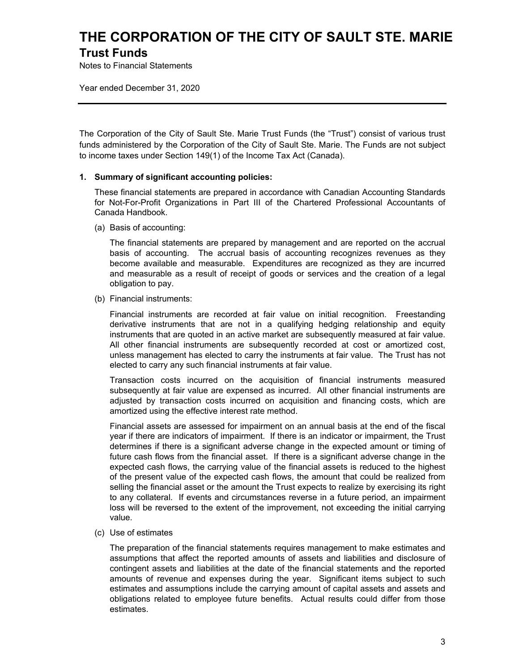## **THE CORPORATION OF THE CITY OF SAULT STE. MARIE Trust Funds**

Notes to Financial Statements

Year ended December 31, 2020

The Corporation of the City of Sault Ste. Marie Trust Funds (the "Trust") consist of various trust funds administered by the Corporation of the City of Sault Ste. Marie. The Funds are not subject to income taxes under Section 149(1) of the Income Tax Act (Canada).

#### **1. Summary of significant accounting policies:**

These financial statements are prepared in accordance with Canadian Accounting Standards for Not-For-Profit Organizations in Part III of the Chartered Professional Accountants of Canada Handbook.

(a) Basis of accounting:

The financial statements are prepared by management and are reported on the accrual basis of accounting. The accrual basis of accounting recognizes revenues as they become available and measurable. Expenditures are recognized as they are incurred and measurable as a result of receipt of goods or services and the creation of a legal obligation to pay.

(b) Financial instruments:

Financial instruments are recorded at fair value on initial recognition. Freestanding derivative instruments that are not in a qualifying hedging relationship and equity instruments that are quoted in an active market are subsequently measured at fair value. All other financial instruments are subsequently recorded at cost or amortized cost, unless management has elected to carry the instruments at fair value. The Trust has not elected to carry any such financial instruments at fair value.

Transaction costs incurred on the acquisition of financial instruments measured subsequently at fair value are expensed as incurred. All other financial instruments are adjusted by transaction costs incurred on acquisition and financing costs, which are amortized using the effective interest rate method.

Financial assets are assessed for impairment on an annual basis at the end of the fiscal year if there are indicators of impairment. If there is an indicator or impairment, the Trust determines if there is a significant adverse change in the expected amount or timing of future cash flows from the financial asset. If there is a significant adverse change in the expected cash flows, the carrying value of the financial assets is reduced to the highest of the present value of the expected cash flows, the amount that could be realized from selling the financial asset or the amount the Trust expects to realize by exercising its right to any collateral. If events and circumstances reverse in a future period, an impairment loss will be reversed to the extent of the improvement, not exceeding the initial carrying value.

(c) Use of estimates

The preparation of the financial statements requires management to make estimates and assumptions that affect the reported amounts of assets and liabilities and disclosure of contingent assets and liabilities at the date of the financial statements and the reported amounts of revenue and expenses during the year. Significant items subject to such estimates and assumptions include the carrying amount of capital assets and assets and obligations related to employee future benefits. Actual results could differ from those estimates.